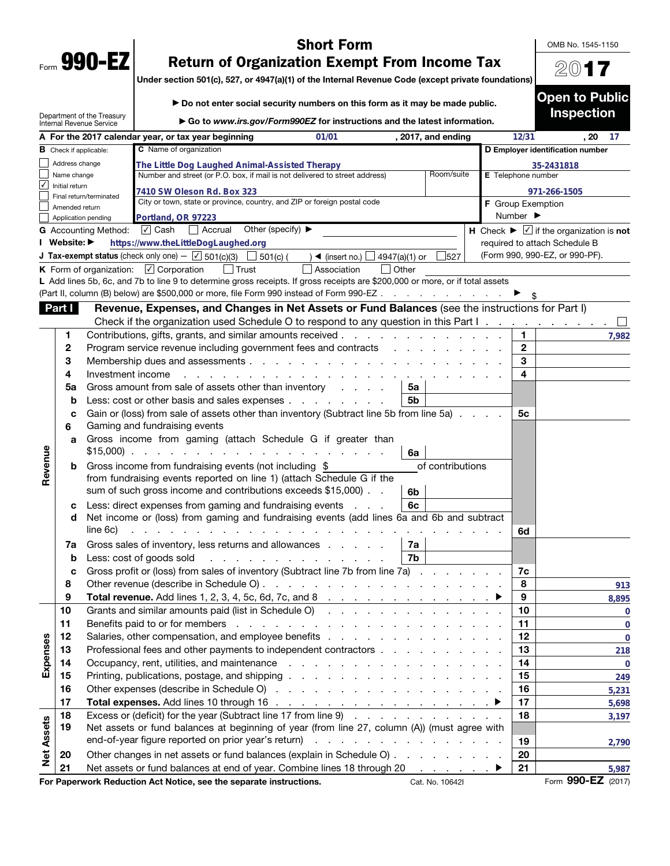| Form | 990- |  |
|------|------|--|

OMB No. 1545-1150

20**17**

**Open to Public Inspection** 

## **Short Form<br>Return of Organization Exempt From Income Tax**

**Return of Organization Exempt From Income Tax Under section 501(c), 527, or 4947(a)(1) of the Internal Revenue Code (except private foundations)**

|                   |                               | Department of the Treasury<br><b>Internal Revenue Service</b> | ► Go to www.irs.gov/Form990EZ for instructions and the latest information.                                                                                                                                                     |                          |                              | <b>Inspection</b>                                                |
|-------------------|-------------------------------|---------------------------------------------------------------|--------------------------------------------------------------------------------------------------------------------------------------------------------------------------------------------------------------------------------|--------------------------|------------------------------|------------------------------------------------------------------|
|                   |                               |                                                               | 01/01<br>A For the 2017 calendar year, or tax year beginning<br>, 2017, and ending                                                                                                                                             |                          | 12/31                        | , 20<br>-17                                                      |
|                   | <b>B</b> Check if applicable: |                                                               | C Name of organization                                                                                                                                                                                                         |                          |                              | D Employer identification number                                 |
|                   | Address change                |                                                               | The Little Dog Laughed Animal-Assisted Therapy                                                                                                                                                                                 |                          |                              | 35-2431818                                                       |
|                   | Name change                   |                                                               | Number and street (or P.O. box, if mail is not delivered to street address)<br>Room/suite                                                                                                                                      | E Telephone number       |                              |                                                                  |
| $\sqrt{}$         | Initial return                |                                                               | 7410 SW Oleson Rd. Box 323                                                                                                                                                                                                     |                          |                              | 971-266-1505                                                     |
|                   | Amended return                | Final return/terminated                                       | City or town, state or province, country, and ZIP or foreign postal code                                                                                                                                                       | <b>F</b> Group Exemption |                              |                                                                  |
|                   |                               | Application pending                                           | Portland, OR 97223                                                                                                                                                                                                             |                          | Number $\blacktriangleright$ |                                                                  |
|                   |                               | <b>G</b> Accounting Method:                                   | √ Cash<br>  Accrual<br>Other (specify) $\blacktriangleright$                                                                                                                                                                   |                          |                              | H Check $\blacktriangleright \square$ if the organization is not |
|                   | I Website: ▶                  |                                                               | https://www.theLittleDogLaughed.org                                                                                                                                                                                            |                          |                              | required to attach Schedule B                                    |
|                   |                               |                                                               | <b>J Tax-exempt status</b> (check only one) $ \sqrt{}$ 501(c)(3)<br>$\Box$ 501(c) (<br>4947(a)(1) or<br>$\frac{1}{527}$<br>$\blacktriangleleft$ (insert no.) $\Box$                                                            |                          |                              | (Form 990, 990-EZ, or 990-PF).                                   |
|                   |                               |                                                               | K Form of organization: $\boxed{\checkmark}$ Corporation<br>  Trust<br>Association<br>l lOther                                                                                                                                 |                          |                              |                                                                  |
|                   |                               |                                                               | L Add lines 5b, 6c, and 7b to line 9 to determine gross receipts. If gross receipts are \$200,000 or more, or if total assets                                                                                                  |                          |                              |                                                                  |
|                   |                               |                                                               | (Part II, column (B) below) are \$500,000 or more, file Form 990 instead of Form 990-EZ                                                                                                                                        |                          |                              |                                                                  |
|                   | Part I                        |                                                               | Revenue, Expenses, and Changes in Net Assets or Fund Balances (see the instructions for Part I)                                                                                                                                |                          |                              |                                                                  |
|                   |                               |                                                               | Check if the organization used Schedule O to respond to any question in this Part I.                                                                                                                                           |                          |                              |                                                                  |
|                   | 1.                            |                                                               | Contributions, gifts, grants, and similar amounts received.<br><u>and a straight and a straight and</u>                                                                                                                        |                          | 1.                           | 7,982                                                            |
|                   | 2                             |                                                               | Program service revenue including government fees and contracts                                                                                                                                                                |                          | $\mathbf{2}$                 |                                                                  |
|                   | З                             |                                                               | Membership dues and assessments                                                                                                                                                                                                |                          | 3                            |                                                                  |
|                   | 4                             | Investment income                                             |                                                                                                                                                                                                                                |                          | 4                            |                                                                  |
|                   | 5a                            |                                                               | Gross amount from sale of assets other than inventory<br>5a                                                                                                                                                                    |                          |                              |                                                                  |
|                   | $\mathbf b$                   |                                                               | Less: cost or other basis and sales expenses<br>5b                                                                                                                                                                             |                          |                              |                                                                  |
|                   | C                             |                                                               | Gain or (loss) from sale of assets other than inventory (Subtract line 5b from line 5a)                                                                                                                                        |                          | 5c                           |                                                                  |
|                   | 6                             |                                                               | Gaming and fundraising events                                                                                                                                                                                                  |                          |                              |                                                                  |
|                   | a                             |                                                               | Gross income from gaming (attach Schedule G if greater than                                                                                                                                                                    |                          |                              |                                                                  |
|                   |                               |                                                               | 6a                                                                                                                                                                                                                             |                          |                              |                                                                  |
| Revenue           | b                             |                                                               | of contributions<br>Gross income from fundraising events (not including \$                                                                                                                                                     |                          |                              |                                                                  |
|                   |                               |                                                               | from fundraising events reported on line 1) (attach Schedule G if the                                                                                                                                                          |                          |                              |                                                                  |
|                   |                               |                                                               | sum of such gross income and contributions exceeds \$15,000).<br>6b                                                                                                                                                            |                          |                              |                                                                  |
|                   | c                             |                                                               | Less: direct expenses from gaming and fundraising events<br>6с<br><b>Contract Contract Contract</b>                                                                                                                            |                          |                              |                                                                  |
|                   | d                             |                                                               | Net income or (loss) from gaming and fundraising events (add lines 6a and 6b and subtract                                                                                                                                      |                          |                              |                                                                  |
|                   |                               | line 6c)                                                      |                                                                                                                                                                                                                                |                          | 6d                           |                                                                  |
|                   | 7a                            |                                                               | Gross sales of inventory, less returns and allowances<br>7a                                                                                                                                                                    |                          |                              |                                                                  |
|                   | $\mathbf b$                   |                                                               | 7b<br>Less: cost of goods sold                                                                                                                                                                                                 |                          |                              |                                                                  |
|                   | c                             |                                                               | Gross profit or (loss) from sales of inventory (Subtract line 7b from line 7a).                                                                                                                                                |                          | 7c                           |                                                                  |
|                   | 8                             |                                                               | Other revenue (describe in Schedule O)                                                                                                                                                                                         |                          | 8                            | 913                                                              |
|                   | g                             |                                                               | <b>Total revenue.</b> Add lines $1, 2, 3, 4, 5c, 6d, 7c, and 8$                                                                                                                                                                |                          | 9                            | 8,895                                                            |
|                   | 10                            |                                                               | Grants and similar amounts paid (list in Schedule O)                                                                                                                                                                           |                          | 10                           | $\mathbf 0$                                                      |
|                   | 11                            |                                                               |                                                                                                                                                                                                                                |                          | 11                           | $\mathbf 0$                                                      |
|                   | 12                            |                                                               |                                                                                                                                                                                                                                |                          | 12                           | $\mathbf 0$                                                      |
| Expenses          | 13                            |                                                               | Professional fees and other payments to independent contractors                                                                                                                                                                |                          | 13                           | 218                                                              |
|                   | 14                            |                                                               | Occupancy, rent, utilities, and maintenance resource in the contract of the contract of the contract of the contract of the contract of the contract of the contract of the contract of the contract of the contract of the co |                          | 14                           | $\overline{0}$                                                   |
|                   | 15                            |                                                               |                                                                                                                                                                                                                                |                          | 15                           | 249                                                              |
|                   | 16                            |                                                               |                                                                                                                                                                                                                                |                          | 16                           | 5,231                                                            |
|                   | 17                            |                                                               |                                                                                                                                                                                                                                |                          | 17                           | 5,698                                                            |
|                   | 18                            |                                                               | Excess or (deficit) for the year (Subtract line 17 from line 9)                                                                                                                                                                |                          | 18                           | 3,197                                                            |
|                   | 19                            |                                                               | Net assets or fund balances at beginning of year (from line 27, column (A)) (must agree with                                                                                                                                   |                          |                              |                                                                  |
| <b>Net Assets</b> |                               |                                                               | end-of-year figure reported on prior year's return)                                                                                                                                                                            |                          | 19                           | 2,790                                                            |
|                   | 20                            |                                                               | Other changes in net assets or fund balances (explain in Schedule O)                                                                                                                                                           |                          | 20                           |                                                                  |
|                   | 21                            |                                                               | Net assets or fund balances at end of year. Combine lines 18 through 20 ▶                                                                                                                                                      |                          | 21                           | 5,987                                                            |
|                   |                               |                                                               | For Paperwork Reduction Act Notice, see the separate instructions.<br>Cat. No. 10642I                                                                                                                                          |                          |                              | Form 990-EZ (2017)                                               |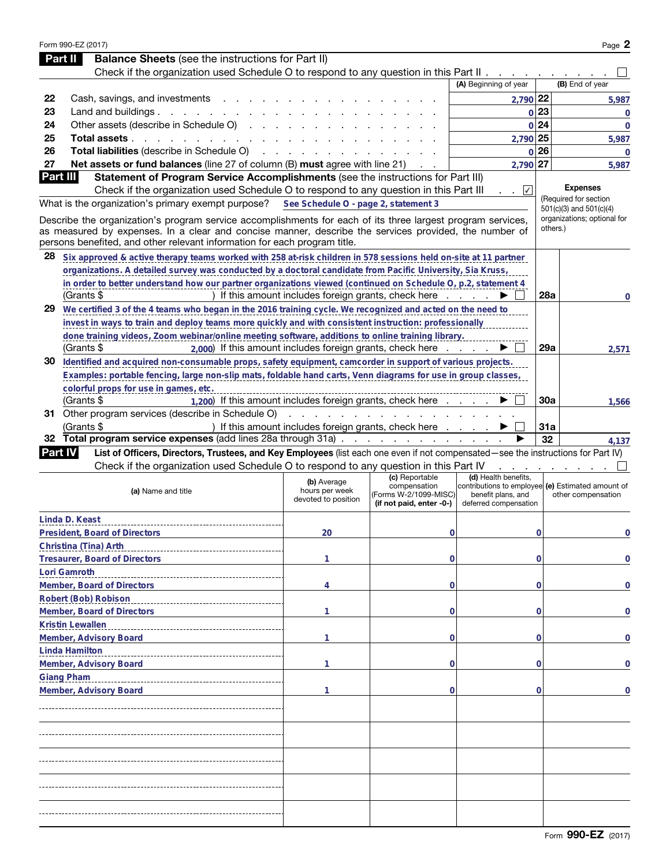|                | Form 990-EZ (2017)                                                                                                                                                                 |                                                      |                                                                   |                                                                                                  |                 | Page 2                                                     |
|----------------|------------------------------------------------------------------------------------------------------------------------------------------------------------------------------------|------------------------------------------------------|-------------------------------------------------------------------|--------------------------------------------------------------------------------------------------|-----------------|------------------------------------------------------------|
| <b>Part II</b> | <b>Balance Sheets</b> (see the instructions for Part II)                                                                                                                           |                                                      |                                                                   |                                                                                                  |                 |                                                            |
|                | Check if the organization used Schedule O to respond to any question in this Part II                                                                                               |                                                      |                                                                   |                                                                                                  |                 |                                                            |
|                |                                                                                                                                                                                    |                                                      |                                                                   | (A) Beginning of year                                                                            |                 | (B) End of year                                            |
| 22             | Cash, savings, and investments                                                                                                                                                     |                                                      |                                                                   | 2,790 22                                                                                         |                 | 5,987                                                      |
| 23<br>24       | Land and buildings $\ldots$ $\ldots$ $\ldots$ $\ldots$<br>Other assets (describe in Schedule O)                                                                                    |                                                      |                                                                   |                                                                                                  | $0$  23<br>0 24 | $\overline{0}$                                             |
| 25             | Total assets.                                                                                                                                                                      |                                                      |                                                                   | 2,790 25                                                                                         |                 | $\overline{0}$                                             |
| 26             | the contract of the contract of<br>Total liabilities (describe in Schedule O)                                                                                                      |                                                      |                                                                   |                                                                                                  | $0$  26         | 5,987                                                      |
| 27             | Net assets or fund balances (line 27 of column (B) must agree with line 21)                                                                                                        |                                                      |                                                                   | 2,790 27                                                                                         |                 | $\Omega$<br>5,987                                          |
| Part III       | Statement of Program Service Accomplishments (see the instructions for Part III)                                                                                                   |                                                      |                                                                   |                                                                                                  |                 |                                                            |
|                | Check if the organization used Schedule O to respond to any question in this Part III                                                                                              |                                                      |                                                                   | $\sqrt{ }$                                                                                       |                 | <b>Expenses</b>                                            |
|                | What is the organization's primary exempt purpose?                                                                                                                                 | See Schedule O - page 2, statement 3                 |                                                                   |                                                                                                  |                 | (Required for section                                      |
|                | Describe the organization's program service accomplishments for each of its three largest program services,                                                                        |                                                      |                                                                   |                                                                                                  |                 | $501(c)(3)$ and $501(c)(4)$<br>organizations; optional for |
|                | as measured by expenses. In a clear and concise manner, describe the services provided, the number of<br>persons benefited, and other relevant information for each program title. |                                                      |                                                                   |                                                                                                  |                 | others.)                                                   |
| 28             | Six approved & active therapy teams worked with 258 at risk children in 578 sessions held on site at 11 partner                                                                    |                                                      |                                                                   |                                                                                                  |                 |                                                            |
|                | organizations. A detailed survey was conducted by a doctoral candidate from Pacific University, Sia Kruss,                                                                         |                                                      |                                                                   |                                                                                                  |                 |                                                            |
|                | in order to better understand how our partner organizations viewed (continued on Schedule O, p.2, statement 4                                                                      |                                                      |                                                                   |                                                                                                  |                 |                                                            |
|                | (Grants \$                                                                                                                                                                         |                                                      | If this amount includes foreign grants, check here $\ldots$       |                                                                                                  | <b>28a</b>      | 0                                                          |
|                | 29 We certified 3 of the 4 teams who began in the 2016 training cycle. We recognized and acted on the need to                                                                      |                                                      |                                                                   |                                                                                                  |                 |                                                            |
|                | invest in ways to train and deploy teams more quickly and with consistent instruction: professionally                                                                              |                                                      |                                                                   |                                                                                                  |                 |                                                            |
|                | done training videos, Zoom webinar/online meeting software, additions to online training library.                                                                                  |                                                      |                                                                   |                                                                                                  |                 |                                                            |
|                | (Grants \$<br>2,000) If this amount includes foreign grants, check here                                                                                                            |                                                      |                                                                   |                                                                                                  | 29a             | 2,571                                                      |
|                | 30 Identified and acquired non-consumable props, safety equipment, camcorder in support of various projects.                                                                       |                                                      |                                                                   |                                                                                                  |                 |                                                            |
|                | Examples: portable fencing, large non-slip mats, foldable hand carts, Venn diagrams for use in group classes,                                                                      |                                                      |                                                                   |                                                                                                  |                 |                                                            |
|                | colorful props for use in games, etc.                                                                                                                                              |                                                      |                                                                   |                                                                                                  |                 |                                                            |
|                | 1,200) If this amount includes foreign grants, check here<br>(Grants \$                                                                                                            |                                                      |                                                                   |                                                                                                  | 30a             | 1,566                                                      |
|                | 31 Other program services (describe in Schedule O)                                                                                                                                 | and the contract of the contract of                  |                                                                   |                                                                                                  |                 |                                                            |
|                | (Grants \$<br>32 Total program service expenses (add lines 28a through 31a)                                                                                                        |                                                      | ) If this amount includes foreign grants, check here              |                                                                                                  | 31a             |                                                            |
| <b>Part IV</b> | List of Officers, Directors, Trustees, and Key Employees (list each one even if not compensated—see the instructions for Part IV)                                                  |                                                      |                                                                   |                                                                                                  | 32              | 4,137                                                      |
|                | Check if the organization used Schedule O to respond to any question in this Part IV                                                                                               |                                                      |                                                                   |                                                                                                  |                 |                                                            |
|                |                                                                                                                                                                                    |                                                      | (c) Reportable                                                    | (d) Health benefits,                                                                             |                 |                                                            |
|                | (a) Name and title                                                                                                                                                                 | (b) Average<br>hours per week<br>devoted to position | compensation<br>(Forms W-2/1099-MISC)<br>(if not paid, enter -0-) | contributions to employee (e) Estimated amount of<br>benefit plans, and<br>deferred compensation |                 | other compensation                                         |
|                | Linda D. Keast                                                                                                                                                                     |                                                      |                                                                   |                                                                                                  |                 |                                                            |
|                | President, Board of Directors                                                                                                                                                      | 20                                                   | 0                                                                 |                                                                                                  | 0               | 0                                                          |
|                | Christina (Tina) Arth                                                                                                                                                              |                                                      |                                                                   |                                                                                                  |                 |                                                            |
|                | Tresaurer, Board of Directors                                                                                                                                                      | 1                                                    | 0                                                                 |                                                                                                  | $\Omega$        | 0                                                          |
|                | Lori Gamroth                                                                                                                                                                       |                                                      |                                                                   |                                                                                                  |                 |                                                            |
|                | Member, Board of Directors                                                                                                                                                         | 4                                                    | 0                                                                 |                                                                                                  | $\Omega$        | 0                                                          |
|                | Robert (Bob) Robison                                                                                                                                                               |                                                      |                                                                   |                                                                                                  |                 |                                                            |
|                | Member, Board of Directors                                                                                                                                                         | 1                                                    | 0                                                                 |                                                                                                  | $\Omega$        | 0                                                          |
|                | Kristin Lewallen                                                                                                                                                                   |                                                      |                                                                   |                                                                                                  |                 |                                                            |
|                | Member, Advisory Board                                                                                                                                                             | 1                                                    | 0                                                                 |                                                                                                  | $\Omega$        | 0                                                          |
|                | Linda Hamilton                                                                                                                                                                     |                                                      |                                                                   |                                                                                                  |                 |                                                            |
|                | Member, Advisory Board                                                                                                                                                             | 1                                                    | 0                                                                 |                                                                                                  | $\Omega$        | 0                                                          |
|                | <b>Giang Pham</b>                                                                                                                                                                  |                                                      |                                                                   |                                                                                                  |                 |                                                            |
|                | Member, Advisory Board                                                                                                                                                             | 1                                                    | 0                                                                 |                                                                                                  | $\Omega$        | 0                                                          |
|                |                                                                                                                                                                                    |                                                      |                                                                   |                                                                                                  |                 |                                                            |
|                |                                                                                                                                                                                    |                                                      |                                                                   |                                                                                                  |                 |                                                            |
|                |                                                                                                                                                                                    |                                                      |                                                                   |                                                                                                  |                 |                                                            |
|                |                                                                                                                                                                                    |                                                      |                                                                   |                                                                                                  |                 |                                                            |
|                |                                                                                                                                                                                    |                                                      |                                                                   |                                                                                                  |                 |                                                            |
|                |                                                                                                                                                                                    |                                                      |                                                                   |                                                                                                  |                 |                                                            |
|                |                                                                                                                                                                                    |                                                      |                                                                   |                                                                                                  |                 |                                                            |
|                |                                                                                                                                                                                    |                                                      |                                                                   |                                                                                                  |                 |                                                            |
|                |                                                                                                                                                                                    |                                                      |                                                                   |                                                                                                  |                 |                                                            |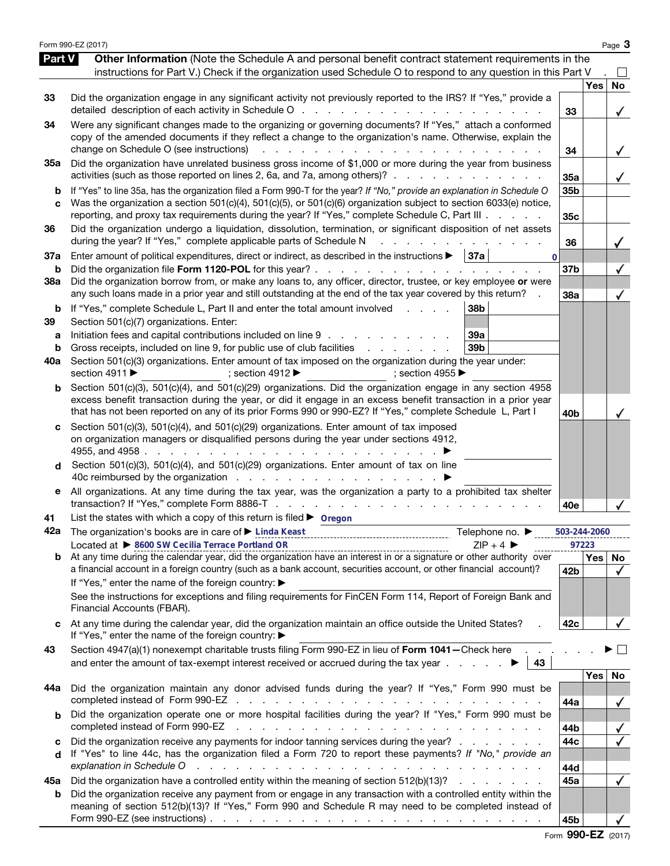|                          | Form 990-EZ (2017)                                                                                                                                                                                                                                                                                                                                                                                                                                                                                                                       |                 |            | Page 3         |
|--------------------------|------------------------------------------------------------------------------------------------------------------------------------------------------------------------------------------------------------------------------------------------------------------------------------------------------------------------------------------------------------------------------------------------------------------------------------------------------------------------------------------------------------------------------------------|-----------------|------------|----------------|
| Part V                   | Other Information (Note the Schedule A and personal benefit contract statement requirements in the<br>instructions for Part V.) Check if the organization used Schedule O to respond to any question in this Part V                                                                                                                                                                                                                                                                                                                      |                 |            |                |
| 33                       | Did the organization engage in any significant activity not previously reported to the IRS? If "Yes," provide a<br>detailed description of each activity in Schedule O<br>and the state of the state of the                                                                                                                                                                                                                                                                                                                              | 33              | <b>Yes</b> | <b>No</b><br>✓ |
| 34                       | Were any significant changes made to the organizing or governing documents? If "Yes," attach a conformed<br>copy of the amended documents if they reflect a change to the organization's name. Otherwise, explain the<br>change on Schedule O (see instructions)                                                                                                                                                                                                                                                                         | 34              |            | ✓              |
| 35a                      | Did the organization have unrelated business gross income of \$1,000 or more during the year from business<br>activities (such as those reported on lines 2, 6a, and 7a, among others)?                                                                                                                                                                                                                                                                                                                                                  | 35a             |            | $\checkmark$   |
| b<br>C                   | If "Yes" to line 35a, has the organization filed a Form 990-T for the year? If "No," provide an explanation in Schedule O<br>Was the organization a section 501(c)(4), 501(c)(5), or 501(c)(6) organization subject to section 6033(e) notice,<br>reporting, and proxy tax requirements during the year? If "Yes," complete Schedule C, Part III                                                                                                                                                                                         | 35b<br>35c      |            |                |
| 36                       | Did the organization undergo a liquidation, dissolution, termination, or significant disposition of net assets<br>during the year? If "Yes," complete applicable parts of Schedule N                                                                                                                                                                                                                                                                                                                                                     | 36              |            |                |
| 37a<br>b                 | Enter amount of political expenditures, direct or indirect, as described in the instructions $\blacktriangleright$   37a<br>$\Omega$<br>Did the organization file Form 1120-POL for this year?.<br><b>Service</b> State<br><b>Service</b> State                                                                                                                                                                                                                                                                                          | 37b             |            |                |
| 38a                      | Did the organization borrow from, or make any loans to, any officer, director, trustee, or key employee or were<br>any such loans made in a prior year and still outstanding at the end of the tax year covered by this return?                                                                                                                                                                                                                                                                                                          | 38a             |            |                |
| b<br>39<br>а<br>b<br>40a | If "Yes," complete Schedule L, Part II and enter the total amount involved<br>38 <sub>b</sub><br>Section 501(c)(7) organizations. Enter:<br>Initiation fees and capital contributions included on line 9<br>39a<br>Gross receipts, included on line 9, for public use of club facilities<br>39b<br>and a state of the state<br>Section 501(c)(3) organizations. Enter amount of tax imposed on the organization during the year under:<br>section 4911 ▶<br>; section 4912 $\blacktriangleright$<br>; section 4955 $\blacktriangleright$ |                 |            |                |
| b                        | Section 501(c)(3), 501(c)(4), and 501(c)(29) organizations. Did the organization engage in any section 4958<br>excess benefit transaction during the year, or did it engage in an excess benefit transaction in a prior year<br>that has not been reported on any of its prior Forms 990 or 990-EZ? If "Yes," complete Schedule L, Part I                                                                                                                                                                                                | 40 <sub>b</sub> |            |                |
| c<br>d                   | Section 501(c)(3), 501(c)(4), and 501(c)(29) organizations. Enter amount of tax imposed<br>on organization managers or disqualified persons during the year under sections 4912,<br>4955, and 4958<br>Section 501(c)(3), 501(c)(4), and 501(c)(29) organizations. Enter amount of tax on line                                                                                                                                                                                                                                            |                 |            |                |
| е                        | All organizations. At any time during the tax year, was the organization a party to a prohibited tax shelter                                                                                                                                                                                                                                                                                                                                                                                                                             | 40e             |            |                |
| 41                       | List the states with which a copy of this return is filed $\blacktriangleright$ Oregon                                                                                                                                                                                                                                                                                                                                                                                                                                                   |                 |            |                |
| 42a                      | The organization's books are in care of ▶ Linda Keast<br>Telephone no. ▶                                                                                                                                                                                                                                                                                                                                                                                                                                                                 | 503-244-2060    |            |                |
|                          | Located at > 8600 SW Cecilia Terrace Portland OR<br>$ZIP + 4$<br>Located at $\blacktriangleright$ 2000 SYN CECTRAL PRINCIPS POINT US CONTINUES AND RESERVE THE RESERVE TO A HOTO AT A POINT OF A HOTO AT A POINT OF A HOTO AT A POINT OF A HOTO AT A POINT OF A SIGNAL BY A POINT OF A SIGNAL BY OVER A HOTO                                                                                                                                                                                                                             | 97223           | Yes        | No             |
|                          | a financial account in a foreign country (such as a bank account, securities account, or other financial account)?                                                                                                                                                                                                                                                                                                                                                                                                                       | 42 <sub>b</sub> |            | $\checkmark$   |
|                          | If "Yes," enter the name of the foreign country: ▶<br>See the instructions for exceptions and filing requirements for FinCEN Form 114, Report of Foreign Bank and<br>Financial Accounts (FBAR).                                                                                                                                                                                                                                                                                                                                          |                 |            |                |
|                          | At any time during the calendar year, did the organization maintain an office outside the United States?<br>If "Yes," enter the name of the foreign country: ▶                                                                                                                                                                                                                                                                                                                                                                           | 42c             |            |                |
| 43                       | Section 4947(a)(1) nonexempt charitable trusts filing Form 990-EZ in lieu of Form 1041-Check here<br>43                                                                                                                                                                                                                                                                                                                                                                                                                                  |                 |            |                |
| 44a                      | Did the organization maintain any donor advised funds during the year? If "Yes," Form 990 must be                                                                                                                                                                                                                                                                                                                                                                                                                                        | 44a             | Yes        | No             |
| b                        | Did the organization operate one or more hospital facilities during the year? If "Yes," Form 990 must be<br>completed instead of Form 990-EZ<br>the contract of the contract of the contract of the contract of the contract of the contract of the contract of                                                                                                                                                                                                                                                                          | 44b             |            |                |
| c<br>d                   | Did the organization receive any payments for indoor tanning services during the year?<br>If "Yes" to line 44c, has the organization filed a Form 720 to report these payments? If "No," provide an<br>explanation in Schedule O<br>and the contract of the contract of the contract of the contract of the contract of                                                                                                                                                                                                                  | 44c<br>44d      |            |                |
| 45а                      | Did the organization have a controlled entity within the meaning of section 512(b)(13)?                                                                                                                                                                                                                                                                                                                                                                                                                                                  | 45a             |            |                |
| b                        | Did the organization receive any payment from or engage in any transaction with a controlled entity within the<br>meaning of section 512(b)(13)? If "Yes," Form 990 and Schedule R may need to be completed instead of<br>Form 990-EZ (see instructions) $\ldots$ $\ldots$ $\ldots$ $\ldots$ $\ldots$ $\ldots$ $\ldots$ $\ldots$ $\ldots$ $\ldots$ $\ldots$                                                                                                                                                                              | 45b             |            |                |

Form **990-EZ** (2017)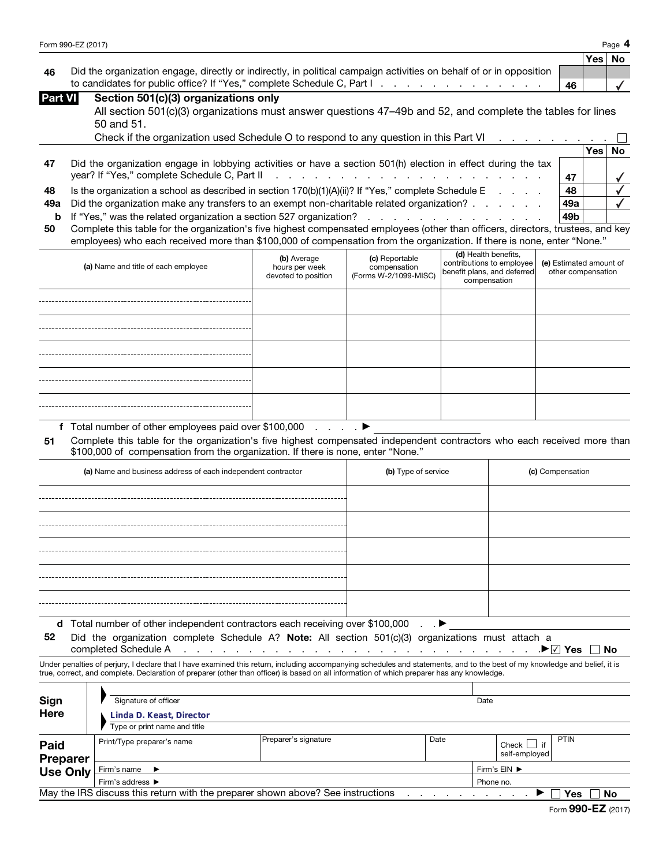|  | Form 990-EZ (2017) |  |
|--|--------------------|--|
|--|--------------------|--|

|                | Form 990-EZ (2017)                                                                                                  |    |       | Page $4$  |
|----------------|---------------------------------------------------------------------------------------------------------------------|----|-------|-----------|
|                |                                                                                                                     |    | Yes l | <b>No</b> |
| 46             | Did the organization engage, directly or indirectly, in political campaign activities on behalf of or in opposition |    |       |           |
|                |                                                                                                                     | 46 |       |           |
| <b>Part VI</b> | Section 501(c)(3) organizations only                                                                                |    |       |           |
|                | All section 501(c)(3) organizations must answer questions 47–49b and 52, and complete the tables for lines          |    |       |           |
|                | 50 and 51.                                                                                                          |    |       |           |
|                | Check if the organization used Schedule O to respond to any question in this Part VI                                |    |       |           |

|     |                                                                                                               |     | <b>Yes</b> |  |
|-----|---------------------------------------------------------------------------------------------------------------|-----|------------|--|
| -47 | Did the organization engage in lobbying activities or have a section 501(h) election in effect during the tax |     |            |  |
|     |                                                                                                               |     |            |  |
| 48  | Is the organization a school as described in section $170(b)(1)(A)(ii)$ ? If "Yes," complete Schedule E       | 48  |            |  |
| 49а | Did the organization make any transfers to an exempt non-charitable related organization?                     | 49a |            |  |
|     |                                                                                                               | 49b |            |  |

|  |                                                                                                                                     |  |  | the contract of the contract of the contract of the contract of the contract of the contract of the contract of |  |
|--|-------------------------------------------------------------------------------------------------------------------------------------|--|--|-----------------------------------------------------------------------------------------------------------------|--|
|  | 50 Complete this table for the organization's five highest compensated employees (other than officers, directors, trustees, and key |  |  |                                                                                                                 |  |
|  | employees) who each received more than \$100,000 of compensation from the organization. If there is none, enter "None."             |  |  |                                                                                                                 |  |

| (a) Name and title of each employee | (b) Average<br>hours per week<br>devoted to position | (c) Reportable<br>compensation<br>(Forms W-2/1099-MISC) | (d) Health benefits,<br>contributions to employee<br>benefit plans, and deferred<br>compensation | (e) Estimated amount of<br>other compensation |
|-------------------------------------|------------------------------------------------------|---------------------------------------------------------|--------------------------------------------------------------------------------------------------|-----------------------------------------------|
|                                     |                                                      |                                                         |                                                                                                  |                                               |
|                                     |                                                      |                                                         |                                                                                                  |                                               |
|                                     |                                                      |                                                         |                                                                                                  |                                               |
|                                     |                                                      |                                                         |                                                                                                  |                                               |
|                                     |                                                      |                                                         |                                                                                                  |                                               |

**f** Total number of other employees paid over \$100,000 . . . . a

**51** Complete this table for the organization's five highest compensated independent contractors who each received more than \$100,000 of compensation from the organization. If there is none, enter "None."

| (a) Name and business address of each independent contractor                                                                                                                                  | (b) Type of service | (c) Compensation |  |  |  |  |
|-----------------------------------------------------------------------------------------------------------------------------------------------------------------------------------------------|---------------------|------------------|--|--|--|--|
|                                                                                                                                                                                               |                     |                  |  |  |  |  |
|                                                                                                                                                                                               |                     |                  |  |  |  |  |
|                                                                                                                                                                                               |                     |                  |  |  |  |  |
|                                                                                                                                                                                               |                     |                  |  |  |  |  |
|                                                                                                                                                                                               |                     |                  |  |  |  |  |
| Total number of other independent contractors each receiving over \$100,000 ▶<br>d<br>Did the organization complete Schedule A? Note: All section 501(c)(3) organizations must attach a<br>52 |                     |                  |  |  |  |  |

completed Schedule A P<u>√</u> Yes No

Under penalties of perjury, I declare that I have examined this return, including accompanying schedules and statements, and to the best of my knowledge and belief, it is true, correct, and complete. Declaration of preparer (other than officer) is based on all information of which preparer has any knowledge.

| Sign<br><b>Here</b>                                                                          | Signature of officer<br>Linda D. Keast, Director |                      |      | Date         |                                  |             |  |
|----------------------------------------------------------------------------------------------|--------------------------------------------------|----------------------|------|--------------|----------------------------------|-------------|--|
|                                                                                              | Type or print name and title                     |                      |      |              |                                  |             |  |
| Paid<br><b>Preparer</b>                                                                      | Print/Type preparer's name                       | Preparer's signature | Date |              | Check $\Box$ if<br>self-employed | <b>PTIN</b> |  |
| <b>Use Only</b>                                                                              | Firm's name<br>$\rightarrow$                     |                      |      | Firm's EIN ▶ |                                  |             |  |
|                                                                                              | Firm's address ▶                                 |                      |      |              | Phone no.                        |             |  |
| May the IRS discuss this return with the preparer shown above? See instructions<br>No<br>Yes |                                                  |                      |      |              |                                  |             |  |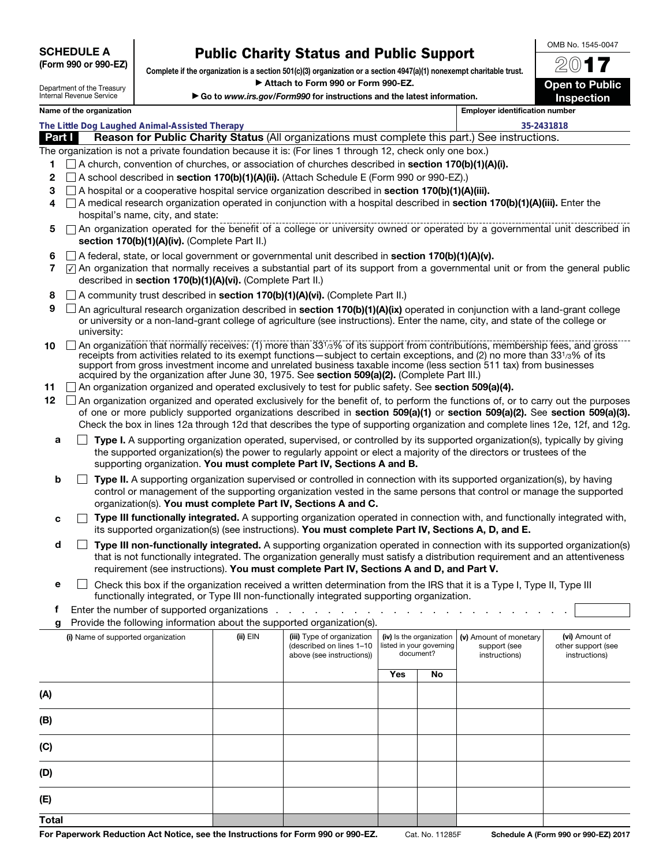| <b>SCHEDULE A</b>    |  |  |
|----------------------|--|--|
| (Form 990 or 990-EZ) |  |  |

**Public Charity Status and Public Support Complete if the organization is a section 501(c)(3) organization or a section 4947(a)(1) nonexempt charitable trust.** a **Attach to Form 990 or Form 990-EZ.** 

▶ Go to *www.irs.gov/Form990* for instructions and the latest information.

20**17 Open to Public Inspection**

OMB No. 1545-0047

## Department of the Treasury Internal Revenue Service

| Name of the organization                       |                                                                                                                                                                                                                                                                                                                                                                                                                                                                                  |                                                                                                                                                                                                                                                    |                                                                                     | <b>Employer identification number</b>                                                                                                         |            |                                      |  |
|------------------------------------------------|----------------------------------------------------------------------------------------------------------------------------------------------------------------------------------------------------------------------------------------------------------------------------------------------------------------------------------------------------------------------------------------------------------------------------------------------------------------------------------|----------------------------------------------------------------------------------------------------------------------------------------------------------------------------------------------------------------------------------------------------|-------------------------------------------------------------------------------------|-----------------------------------------------------------------------------------------------------------------------------------------------|------------|--------------------------------------|--|
| The Little Dog Laughed Animal-Assisted Therapy |                                                                                                                                                                                                                                                                                                                                                                                                                                                                                  |                                                                                                                                                                                                                                                    |                                                                                     |                                                                                                                                               | 35-2431818 |                                      |  |
|                                                | Reason for Public Charity Status (All organizations must complete this part.) See instructions.<br>Part I                                                                                                                                                                                                                                                                                                                                                                        |                                                                                                                                                                                                                                                    |                                                                                     |                                                                                                                                               |            |                                      |  |
| 1                                              | The organization is not a private foundation because it is: (For lines 1 through 12, check only one box.)<br>$\Box$ A church, convention of churches, or association of churches described in <b>section 170(b)(1)(A)(i).</b>                                                                                                                                                                                                                                                    |                                                                                                                                                                                                                                                    |                                                                                     |                                                                                                                                               |            |                                      |  |
| 2                                              | $\Box$ A school described in <b>section 170(b)(1)(A)(ii).</b> (Attach Schedule E (Form 990 or 990-EZ).)                                                                                                                                                                                                                                                                                                                                                                          |                                                                                                                                                                                                                                                    |                                                                                     |                                                                                                                                               |            |                                      |  |
| 3<br>4                                         | hospital's name, city, and state:                                                                                                                                                                                                                                                                                                                                                                                                                                                | $\Box$ A hospital or a cooperative hospital service organization described in <b>section 170(b)(1)(A)(iii).</b><br>A medical research organization operated in conjunction with a hospital described in section 170(b)(1)(A)(iii). Enter the       |                                                                                     |                                                                                                                                               |            |                                      |  |
| 5                                              | section 170(b)(1)(A)(iv). (Complete Part II.)                                                                                                                                                                                                                                                                                                                                                                                                                                    | $\Box$ An organization operated for the benefit of a college or university owned or operated by a governmental unit described in                                                                                                                   |                                                                                     |                                                                                                                                               |            |                                      |  |
| 6<br>7                                         | described in section 170(b)(1)(A)(vi). (Complete Part II.)                                                                                                                                                                                                                                                                                                                                                                                                                       | $\Box$ A federal, state, or local government or governmental unit described in section 170(b)(1)(A)(v).<br>$\sqrt{7}$ An organization that normally receives a substantial part of its support from a governmental unit or from the general public |                                                                                     |                                                                                                                                               |            |                                      |  |
| 8                                              | A community trust described in section 170(b)(1)(A)(vi). (Complete Part II.)                                                                                                                                                                                                                                                                                                                                                                                                     |                                                                                                                                                                                                                                                    |                                                                                     |                                                                                                                                               |            |                                      |  |
| 9                                              | $\Box$ An agricultural research organization described in section 170(b)(1)(A)(ix) operated in conjunction with a land-grant college<br>or university or a non-land-grant college of agriculture (see instructions). Enter the name, city, and state of the college or<br>university:                                                                                                                                                                                            |                                                                                                                                                                                                                                                    |                                                                                     |                                                                                                                                               |            |                                      |  |
| 10                                             | □ An organization that normally receives: (1) more than 331/3% of its support from contributions, membership fees, and gross<br>receipts from activities related to its exempt functions—subject to certain exceptions, and (2) no more than 331/3% of its<br>support from gross investment income and unrelated business taxable income (less section 511 tax) from businesses<br>acquired by the organization after June 30, 1975. See section 509(a)(2). (Complete Part III.) |                                                                                                                                                                                                                                                    |                                                                                     |                                                                                                                                               |            |                                      |  |
| 11                                             | □ An organization organized and operated exclusively to test for public safety. See section 509(a)(4).                                                                                                                                                                                                                                                                                                                                                                           |                                                                                                                                                                                                                                                    |                                                                                     |                                                                                                                                               |            |                                      |  |
| 12 <sub>2</sub>                                | $\Box$ An organization organized and operated exclusively for the benefit of, to perform the functions of, or to carry out the purposes<br>of one or more publicly supported organizations described in section 509(a)(1) or section 509(a)(2). See section 509(a)(3).<br>Check the box in lines 12a through 12d that describes the type of supporting organization and complete lines 12e, 12f, and 12g.                                                                        |                                                                                                                                                                                                                                                    |                                                                                     |                                                                                                                                               |            |                                      |  |
|                                                | Type I. A supporting organization operated, supervised, or controlled by its supported organization(s), typically by giving<br>a<br>the supported organization(s) the power to regularly appoint or elect a majority of the directors or trustees of the<br>supporting organization. You must complete Part IV, Sections A and B.                                                                                                                                                |                                                                                                                                                                                                                                                    |                                                                                     |                                                                                                                                               |            |                                      |  |
| b                                              | Type II. A supporting organization supervised or controlled in connection with its supported organization(s), by having<br>control or management of the supporting organization vested in the same persons that control or manage the supported<br>organization(s). You must complete Part IV, Sections A and C.                                                                                                                                                                 |                                                                                                                                                                                                                                                    |                                                                                     |                                                                                                                                               |            |                                      |  |
|                                                | Type III functionally integrated. A supporting organization operated in connection with, and functionally integrated with,<br>с<br>its supported organization(s) (see instructions). You must complete Part IV, Sections A, D, and E.                                                                                                                                                                                                                                            |                                                                                                                                                                                                                                                    |                                                                                     |                                                                                                                                               |            |                                      |  |
|                                                | d<br>Type III non-functionally integrated. A supporting organization operated in connection with its supported organization(s)<br>that is not functionally integrated. The organization generally must satisfy a distribution requirement and an attentiveness<br>requirement (see instructions). You must complete Part IV, Sections A and D, and Part V.                                                                                                                       |                                                                                                                                                                                                                                                    |                                                                                     |                                                                                                                                               |            |                                      |  |
|                                                | Check this box if the organization received a written determination from the IRS that it is a Type I, Type II, Type III<br>е<br>functionally integrated, or Type III non-functionally integrated supporting organization.                                                                                                                                                                                                                                                        |                                                                                                                                                                                                                                                    |                                                                                     |                                                                                                                                               |            |                                      |  |
| Ť                                              | Enter the number of supported organizations                                                                                                                                                                                                                                                                                                                                                                                                                                      |                                                                                                                                                                                                                                                    |                                                                                     |                                                                                                                                               |            |                                      |  |
| g                                              | Provide the following information about the supported organization(s).                                                                                                                                                                                                                                                                                                                                                                                                           |                                                                                                                                                                                                                                                    |                                                                                     |                                                                                                                                               |            |                                      |  |
|                                                | (i) Name of supported organization                                                                                                                                                                                                                                                                                                                                                                                                                                               | (ii) EIN                                                                                                                                                                                                                                           | (iii) Type of organization<br>(described on lines 1-10<br>above (see instructions)) | (iv) Is the organization<br>(v) Amount of monetary<br>listed in your governing<br>support (see<br>document?<br>instructions)<br>instructions) |            | (vi) Amount of<br>other support (see |  |
|                                                |                                                                                                                                                                                                                                                                                                                                                                                                                                                                                  |                                                                                                                                                                                                                                                    |                                                                                     | Yes                                                                                                                                           | No         |                                      |  |
| (A)                                            |                                                                                                                                                                                                                                                                                                                                                                                                                                                                                  |                                                                                                                                                                                                                                                    |                                                                                     |                                                                                                                                               |            |                                      |  |
| (B)                                            |                                                                                                                                                                                                                                                                                                                                                                                                                                                                                  |                                                                                                                                                                                                                                                    |                                                                                     |                                                                                                                                               |            |                                      |  |
| (C)                                            |                                                                                                                                                                                                                                                                                                                                                                                                                                                                                  |                                                                                                                                                                                                                                                    |                                                                                     |                                                                                                                                               |            |                                      |  |

**(D)**

**(E) Total**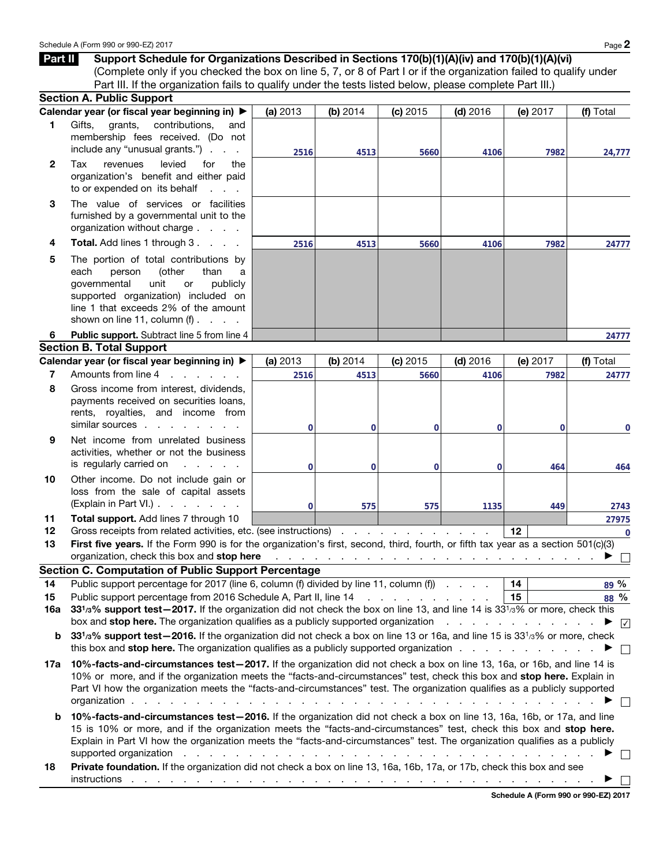|                | (Complete only if you checked the box on line 5, 7, or 8 of Part I or if the organization failed to qualify under<br>Part III. If the organization fails to qualify under the tests listed below, please complete Part III.)                                                                                                                                                                                                                                   |                                                          |                |          |            |          |                              |
|----------------|----------------------------------------------------------------------------------------------------------------------------------------------------------------------------------------------------------------------------------------------------------------------------------------------------------------------------------------------------------------------------------------------------------------------------------------------------------------|----------------------------------------------------------|----------------|----------|------------|----------|------------------------------|
|                | <b>Section A. Public Support</b>                                                                                                                                                                                                                                                                                                                                                                                                                               |                                                          |                |          |            |          |                              |
|                | Calendar year (or fiscal year beginning in) ▶                                                                                                                                                                                                                                                                                                                                                                                                                  | (a) 2013                                                 | (b) 2014       | (c) 2015 | $(d)$ 2016 | (e) 2017 | (f) Total                    |
| 1.             | Gifts,<br>grants,<br>contributions,<br>and<br>membership fees received. (Do not<br>include any "unusual grants.")                                                                                                                                                                                                                                                                                                                                              | 2516                                                     | 4513           | 5660     | 4106       | 7982     | 24,777                       |
| $\mathbf{2}$   | levied<br>Tax<br>revenues<br>for<br>the<br>organization's benefit and either paid<br>to or expended on its behalf                                                                                                                                                                                                                                                                                                                                              |                                                          |                |          |            |          |                              |
| 3              | The value of services or facilities<br>furnished by a governmental unit to the<br>organization without charge                                                                                                                                                                                                                                                                                                                                                  |                                                          |                |          |            |          |                              |
| 4              | Total. Add lines 1 through 3.                                                                                                                                                                                                                                                                                                                                                                                                                                  | 2516                                                     | 4513           | 5660     | 4106       | 7982     | 24777                        |
| 5              | The portion of total contributions by<br>(other<br>person<br>than<br>each<br>a<br>governmental<br>unit<br>publicly<br>or<br>supported organization) included on<br>line 1 that exceeds 2% of the amount<br>shown on line 11, column $(f)$ .                                                                                                                                                                                                                    |                                                          |                |          |            |          |                              |
| 6              | Public support. Subtract line 5 from line 4                                                                                                                                                                                                                                                                                                                                                                                                                    |                                                          |                |          |            |          | 24777                        |
|                | <b>Section B. Total Support</b>                                                                                                                                                                                                                                                                                                                                                                                                                                |                                                          |                |          |            |          |                              |
|                | Calendar year (or fiscal year beginning in) ▶                                                                                                                                                                                                                                                                                                                                                                                                                  | (a) 2013                                                 | (b) 2014       | (c) 2015 | $(d)$ 2016 | (e) 2017 | (f) Total                    |
| $\overline{7}$ | Amounts from line 4<br>and the contract of the state                                                                                                                                                                                                                                                                                                                                                                                                           | 2516                                                     | 4513           | 5660     | 4106       | 7982     | 24777                        |
| 8              | Gross income from interest, dividends,<br>payments received on securities loans,<br>rents, royalties, and income from<br>similar sources                                                                                                                                                                                                                                                                                                                       | 0                                                        | $\overline{0}$ | 0        | 0          | $\Omega$ | 0                            |
| 9              | Net income from unrelated business<br>activities, whether or not the business<br>is regularly carried on<br>and a state of                                                                                                                                                                                                                                                                                                                                     | $\mathbf{0}$                                             | $\overline{0}$ | 0        | 0          | 464      | 464                          |
| 10             | Other income. Do not include gain or<br>loss from the sale of capital assets<br>(Explain in Part VI.)                                                                                                                                                                                                                                                                                                                                                          | $\mathbf 0$                                              | 575            | 575      | 1135       | 449      | 2743                         |
| 11             | Total support. Add lines 7 through 10                                                                                                                                                                                                                                                                                                                                                                                                                          |                                                          |                |          |            |          | 27975                        |
| 12             | Gross receipts from related activities, etc. (see instructions)                                                                                                                                                                                                                                                                                                                                                                                                |                                                          |                |          |            | 12       | $\overline{0}$               |
| 13             | First five years. If the Form 990 is for the organization's first, second, third, fourth, or fifth tax year as a section 501(c)(3)                                                                                                                                                                                                                                                                                                                             |                                                          |                |          |            |          |                              |
|                | organization, check this box and stop here                                                                                                                                                                                                                                                                                                                                                                                                                     |                                                          |                |          |            |          |                              |
|                | <b>Section C. Computation of Public Support Percentage</b>                                                                                                                                                                                                                                                                                                                                                                                                     |                                                          |                |          |            |          |                              |
| 14             | Public support percentage for 2017 (line 6, column (f) divided by line 11, column (f)                                                                                                                                                                                                                                                                                                                                                                          |                                                          |                |          |            | 14       | 89 %                         |
| 15             | Public support percentage from 2016 Schedule A, Part II, line 14 \[Co. \] \] \] . \] \] . \] . \] . \] . \]                                                                                                                                                                                                                                                                                                                                                    |                                                          |                |          |            | 15       | 88 %                         |
| 16a            | 33 <sup>1</sup> /3% support test-2017. If the organization did not check the box on line 13, and line 14 is 33 <sup>1</sup> /3% or more, check this                                                                                                                                                                                                                                                                                                            |                                                          |                |          |            |          |                              |
|                | box and <b>stop here.</b> The organization qualifies as a publicly supported organization<br>331/3% support test-2016. If the organization did not check a box on line 13 or 16a, and line 15 is 331/3% or more, check                                                                                                                                                                                                                                         |                                                          |                |          |            |          | $\blacktriangleright$ $\vee$ |
| b              | this box and <b>stop here.</b> The organization qualifies as a publicly supported organization                                                                                                                                                                                                                                                                                                                                                                 |                                                          |                |          |            |          |                              |
|                |                                                                                                                                                                                                                                                                                                                                                                                                                                                                |                                                          |                |          |            |          | $\mathcal{L}$                |
| 17a            | 10%-facts-and-circumstances test-2017. If the organization did not check a box on line 13, 16a, or 16b, and line 14 is<br>10% or more, and if the organization meets the "facts-and-circumstances" test, check this box and stop here. Explain in<br>Part VI how the organization meets the "facts-and-circumstances" test. The organization qualifies as a publicly supported<br>organization.<br>the contract of the contract of<br><b>Contract Contract</b> |                                                          |                |          |            |          |                              |
| b              | 10%-facts-and-circumstances test-2016. If the organization did not check a box on line 13, 16a, 16b, or 17a, and line<br>15 is 10% or more, and if the organization meets the "facts-and-circumstances" test, check this box and stop here.<br>Explain in Part VI how the organization meets the "facts-and-circumstances" test. The organization qualifies as a publicly<br>supported organization                                                            | and a series of the contract of the contract of the con- |                |          |            |          |                              |
| 18             | Private foundation. If the organization did not check a box on line 13, 16a, 16b, 17a, or 17b, check this box and see                                                                                                                                                                                                                                                                                                                                          |                                                          |                |          |            |          |                              |

**Schedule A (Form 990 or 990-EZ) 2017**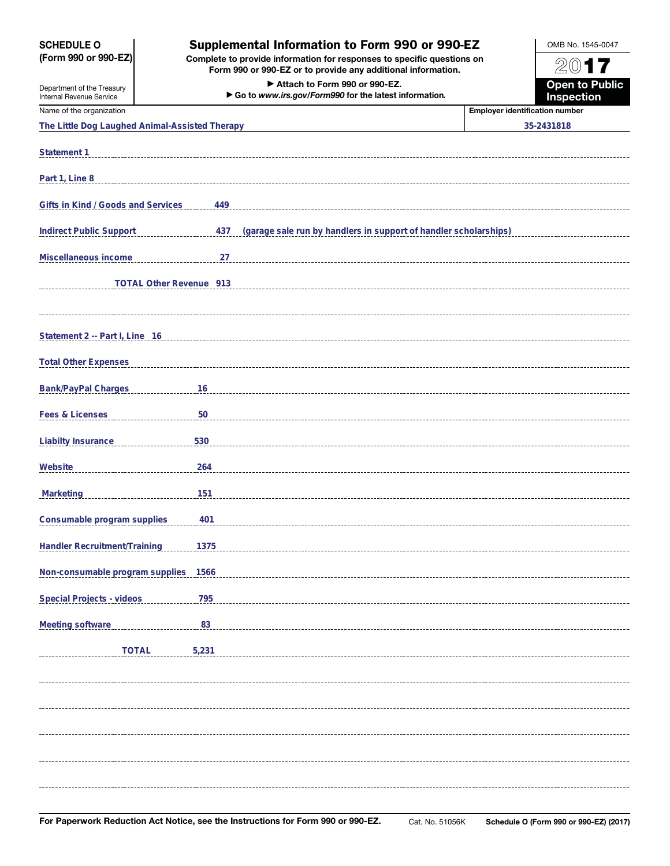| <b>SCHEDULE O</b>                                      | Supplemental Information to Form 990 or 990-EZ                                                                                         | OMB No. 1545-0047                     |  |  |
|--------------------------------------------------------|----------------------------------------------------------------------------------------------------------------------------------------|---------------------------------------|--|--|
| (Form 990 or 990-EZ)                                   | Complete to provide information for responses to specific questions on<br>Form 990 or 990-EZ or to provide any additional information. | 2017                                  |  |  |
| Department of the Treasury<br>Internal Revenue Service | Attach to Form 990 or 990-EZ.<br>Go to www.irs.gov/Form990 for the latest information.                                                 | <b>Open to Public</b><br>Inspection   |  |  |
| Name of the organization                               |                                                                                                                                        | <b>Employer identification number</b> |  |  |
| The Little Dog Laughed Animal-Assisted Therapy         |                                                                                                                                        | 35-2431818                            |  |  |
| Statement 1                                            |                                                                                                                                        |                                       |  |  |
| Part 1, Line 8                                         |                                                                                                                                        |                                       |  |  |
| Gifts in Kind / Goods and Services                     | 449                                                                                                                                    |                                       |  |  |
| <b>Indirect Public Support</b>                         | (garage sale run by handlers in support of handler scholarships)<br>437                                                                |                                       |  |  |
| Miscellaneous income                                   | 27                                                                                                                                     |                                       |  |  |
| TOTAL Other Revenue 913                                |                                                                                                                                        |                                       |  |  |
| Statement 2 -- Part I, Line 16                         |                                                                                                                                        |                                       |  |  |
| <b>Total Other Expenses</b>                            |                                                                                                                                        |                                       |  |  |
| <b>Bank/PayPal Charges</b>                             | 16                                                                                                                                     |                                       |  |  |
|                                                        |                                                                                                                                        |                                       |  |  |
| Fees & Licenses                                        | 50                                                                                                                                     |                                       |  |  |
| <b>Liabilty Insurance</b>                              | 530                                                                                                                                    |                                       |  |  |
| Website                                                | 264                                                                                                                                    |                                       |  |  |
| Marketing                                              | 151                                                                                                                                    |                                       |  |  |
| Consumable program supplies                            | 401                                                                                                                                    |                                       |  |  |
| Handler Recruitment/Training                           | 1375                                                                                                                                   |                                       |  |  |
| Non-consumable program supplies 1566                   |                                                                                                                                        |                                       |  |  |
| Special Projects - videos                              | 795                                                                                                                                    |                                       |  |  |
| Meeting software                                       | $\frac{83}{2}$                                                                                                                         |                                       |  |  |
| <b>TOTAL</b>                                           | 5,231                                                                                                                                  |                                       |  |  |
|                                                        |                                                                                                                                        |                                       |  |  |
|                                                        |                                                                                                                                        |                                       |  |  |
|                                                        |                                                                                                                                        |                                       |  |  |
|                                                        |                                                                                                                                        |                                       |  |  |
|                                                        |                                                                                                                                        |                                       |  |  |
|                                                        |                                                                                                                                        |                                       |  |  |